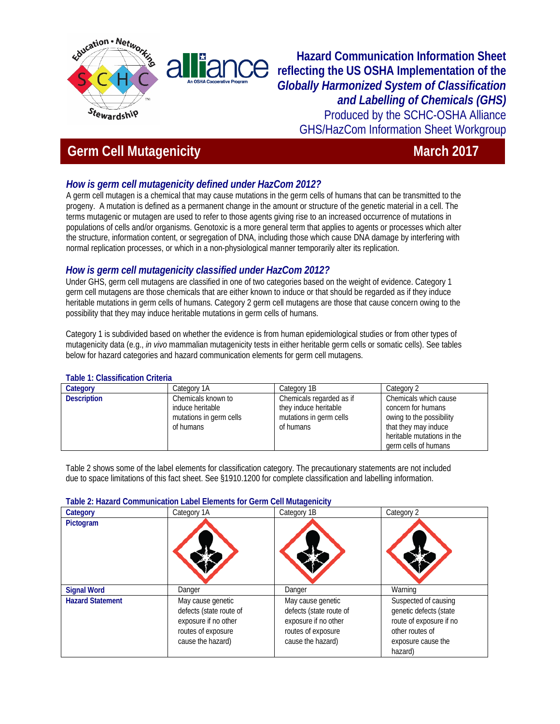

**Hazard Communication Information Sheet reflecting the US OSHA Implementation of the**  *Globally Harmonized System of Classification and Labelling of Chemicals (GHS)*  Produced by the SCHC-OSHA Alliance GHS/HazCom Information Sheet Workgroup

# **Germ Cell Mutagenicity** March 2017

# *How is germ cell mutagenicity defined under HazCom 2012?*

A germ cell mutagen is a chemical that may cause mutations in the germ cells of humans that can be transmitted to the progeny. A mutation is defined as a permanent change in the amount or structure of the genetic material in a cell. The terms mutagenic or mutagen are used to refer to those agents giving rise to an increased occurrence of mutations in populations of cells and/or organisms. Genotoxic is a more general term that applies to agents or processes which alter the structure, information content, or segregation of DNA, including those which cause DNA damage by interfering with normal replication processes, or which in a non-physiological manner temporarily alter its replication.

## *How is germ cell mutagenicity classified under HazCom 2012?*

Under GHS, germ cell mutagens are classified in one of two categories based on the weight of evidence. Category 1 germ cell mutagens are those chemicals that are either known to induce or that should be regarded as if they induce heritable mutations in germ cells of humans. Category 2 germ cell mutagens are those that cause concern owing to the possibility that they may induce heritable mutations in germ cells of humans.

Category 1 is subdivided based on whether the evidence is from human epidemiological studies or from other types of mutagenicity data (e.g., *in vivo* mammalian mutagenicity tests in either heritable germ cells or somatic cells). See tables below for hazard categories and hazard communication elements for germ cell mutagens.

### **Table 1: Classification Criteria**

| Category           | Category 1A             | Category 1B              | Category 2                 |
|--------------------|-------------------------|--------------------------|----------------------------|
| <b>Description</b> | Chemicals known to      | Chemicals regarded as if | Chemicals which cause      |
|                    | induce heritable        | they induce heritable    | concern for humans         |
|                    | mutations in germ cells | mutations in germ cells  | owing to the possibility   |
|                    | of humans               | of humans                | that they may induce       |
|                    |                         |                          | heritable mutations in the |
|                    |                         |                          | germ cells of humans       |

Table 2 shows some of the label elements for classification category. The precautionary statements are not included due to space limitations of this fact sheet. See §1910.1200 for complete classification and labelling information.

#### **Table 2: Hazard Communication Label Elements for Germ Cell Mutagenicity**

| Category                | Category 1A                                                                                                     | Category 1B                                                                                                     | Category 2                                                                                                                    |
|-------------------------|-----------------------------------------------------------------------------------------------------------------|-----------------------------------------------------------------------------------------------------------------|-------------------------------------------------------------------------------------------------------------------------------|
| Pictogram               |                                                                                                                 |                                                                                                                 |                                                                                                                               |
| <b>Signal Word</b>      | Danger                                                                                                          | Danger                                                                                                          | Warning                                                                                                                       |
| <b>Hazard Statement</b> | May cause genetic<br>defects (state route of<br>exposure if no other<br>routes of exposure<br>cause the hazard) | May cause genetic<br>defects (state route of<br>exposure if no other<br>routes of exposure<br>cause the hazard) | Suspected of causing<br>genetic defects (state<br>route of exposure if no<br>other routes of<br>exposure cause the<br>hazard) |